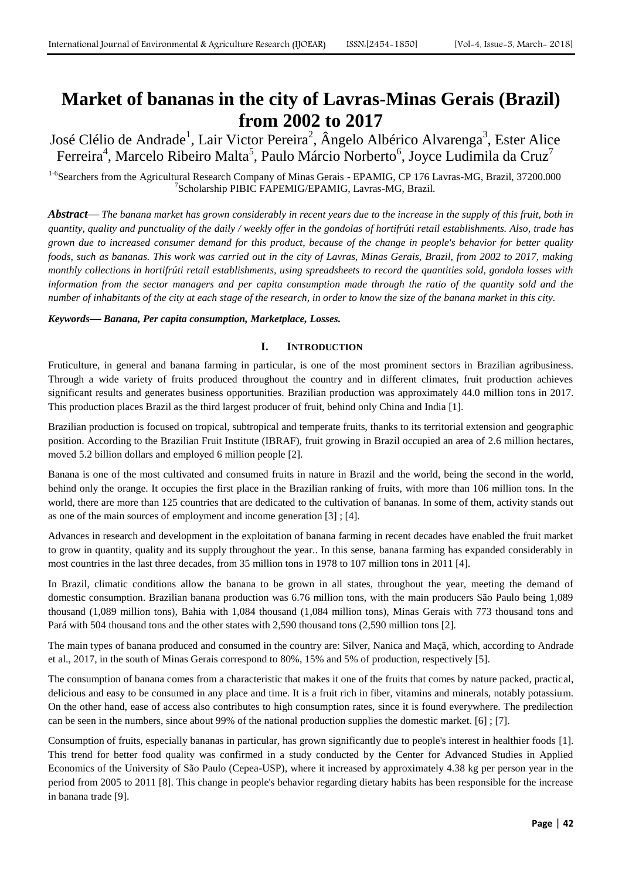# **Market of bananas in the city of Lavras-Minas Gerais (Brazil) from 2002 to 2017**

José Clélio de Andrade<sup>1</sup>, Lair Victor Pereira<sup>2</sup>, Ângelo Albérico Alvarenga<sup>3</sup>, Ester Alice Ferreira<sup>4</sup>, Marcelo Ribeiro Malta<sup>5</sup>, Paulo Márcio Norberto<sup>6</sup>, Joyce Ludimila da Cruz<sup>7</sup>

<sup>1-6</sup>Searchers from the Agricultural Research Company of Minas Gerais - EPAMIG, CP 176 Lavras-MG, Brazil, 37200.000 7 Scholarship PIBIC FAPEMIG/EPAMIG, Lavras-MG, Brazil.

*Abstract***—** *The banana market has grown considerably in recent years due to the increase in the supply of this fruit, both in quantity, quality and punctuality of the daily / weekly offer in the gondolas of hortifrúti retail establishments. Also, trade has grown due to increased consumer demand for this product, because of the change in people's behavior for better quality foods, such as bananas. This work was carried out in the city of Lavras, Minas Gerais, Brazil, from 2002 to 2017, making monthly collections in hortifrúti retail establishments, using spreadsheets to record the quantities sold, gondola losses with information from the sector managers and per capita consumption made through the ratio of the quantity sold and the number of inhabitants of the city at each stage of the research, in order to know the size of the banana market in this city.*

# *Keywords***—** *Banana, Per capita consumption, Marketplace, Losses.*

# **I. INTRODUCTION**

Fruticulture, in general and banana farming in particular, is one of the most prominent sectors in Brazilian agribusiness. Through a wide variety of fruits produced throughout the country and in different climates, fruit production achieves significant results and generates business opportunities. Brazilian production was approximately 44.0 million tons in 2017. This production places Brazil as the third largest producer of fruit, behind only China and India [1].

Brazilian production is focused on tropical, subtropical and temperate fruits, thanks to its territorial extension and geographic position. According to the Brazilian Fruit Institute (IBRAF), fruit growing in Brazil occupied an area of 2.6 million hectares, moved 5.2 billion dollars and employed 6 million people [2].

Banana is one of the most cultivated and consumed fruits in nature in Brazil and the world, being the second in the world, behind only the orange. It occupies the first place in the Brazilian ranking of fruits, with more than 106 million tons. In the world, there are more than 125 countries that are dedicated to the cultivation of bananas. In some of them, activity stands out as one of the main sources of employment and income generation [3] ; [4].

Advances in research and development in the exploitation of banana farming in recent decades have enabled the fruit market to grow in quantity, quality and its supply throughout the year.. In this sense, banana farming has expanded considerably in most countries in the last three decades, from 35 million tons in 1978 to 107 million tons in 2011 [4].

In Brazil, climatic conditions allow the banana to be grown in all states, throughout the year, meeting the demand of domestic consumption. Brazilian banana production was 6.76 million tons, with the main producers São Paulo being 1,089 thousand (1,089 million tons), Bahia with 1,084 thousand (1,084 million tons), Minas Gerais with 773 thousand tons and Pará with 504 thousand tons and the other states with 2,590 thousand tons (2,590 million tons [2].

The main types of banana produced and consumed in the country are: Silver, Nanica and Maçã, which, according to Andrade et al., 2017, in the south of Minas Gerais correspond to 80%, 15% and 5% of production, respectively [5].

The consumption of banana comes from a characteristic that makes it one of the fruits that comes by nature packed, practical, delicious and easy to be consumed in any place and time. It is a fruit rich in fiber, vitamins and minerals, notably potassium. On the other hand, ease of access also contributes to high consumption rates, since it is found everywhere. The predilection can be seen in the numbers, since about 99% of the national production supplies the domestic market. [6] ; [7].

Consumption of fruits, especially bananas in particular, has grown significantly due to people's interest in healthier foods [1]. This trend for better food quality was confirmed in a study conducted by the Center for Advanced Studies in Applied Economics of the University of São Paulo (Cepea-USP), where it increased by approximately 4.38 kg per person year in the period from 2005 to 2011 [8]. This change in people's behavior regarding dietary habits has been responsible for the increase in banana trade [9].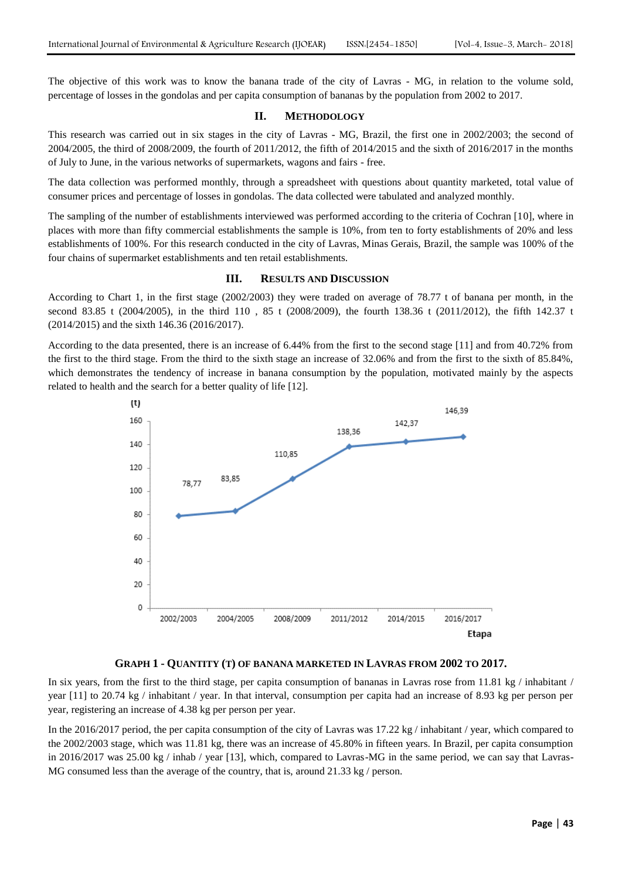The objective of this work was to know the banana trade of the city of Lavras - MG, in relation to the volume sold, percentage of losses in the gondolas and per capita consumption of bananas by the population from 2002 to 2017.

### **II. METHODOLOGY**

This research was carried out in six stages in the city of Lavras - MG, Brazil, the first one in 2002/2003; the second of 2004/2005, the third of 2008/2009, the fourth of 2011/2012, the fifth of 2014/2015 and the sixth of 2016/2017 in the months of July to June, in the various networks of supermarkets, wagons and fairs - free.

The data collection was performed monthly, through a spreadsheet with questions about quantity marketed, total value of consumer prices and percentage of losses in gondolas. The data collected were tabulated and analyzed monthly.

The sampling of the number of establishments interviewed was performed according to the criteria of Cochran [10], where in places with more than fifty commercial establishments the sample is 10%, from ten to forty establishments of 20% and less establishments of 100%. For this research conducted in the city of Lavras, Minas Gerais, Brazil, the sample was 100% of the four chains of supermarket establishments and ten retail establishments.

## **III. RESULTS AND DISCUSSION**

According to Chart 1, in the first stage (2002/2003) they were traded on average of 78.77 t of banana per month, in the second 83.85 t (2004/2005), in the third 110 , 85 t (2008/2009), the fourth 138.36 t (2011/2012), the fifth 142.37 t (2014/2015) and the sixth 146.36 (2016/2017).

According to the data presented, there is an increase of 6.44% from the first to the second stage [11] and from 40.72% from the first to the third stage. From the third to the sixth stage an increase of 32.06% and from the first to the sixth of 85.84%, which demonstrates the tendency of increase in banana consumption by the population, motivated mainly by the aspects related to health and the search for a better quality of life [12].



#### **GRAPH 1 - QUANTITY (T) OF BANANA MARKETED IN LAVRAS FROM 2002 TO 2017.**

In six years, from the first to the third stage, per capita consumption of bananas in Lavras rose from 11.81 kg / inhabitant / year [11] to 20.74 kg / inhabitant / year. In that interval, consumption per capita had an increase of 8.93 kg per person per year, registering an increase of 4.38 kg per person per year.

In the 2016/2017 period, the per capita consumption of the city of Lavras was 17.22 kg / inhabitant / year, which compared to the 2002/2003 stage, which was 11.81 kg, there was an increase of 45.80% in fifteen years. In Brazil, per capita consumption in 2016/2017 was 25.00 kg / inhab / year [13], which, compared to Lavras-MG in the same period, we can say that Lavras-MG consumed less than the average of the country, that is, around 21.33 kg / person.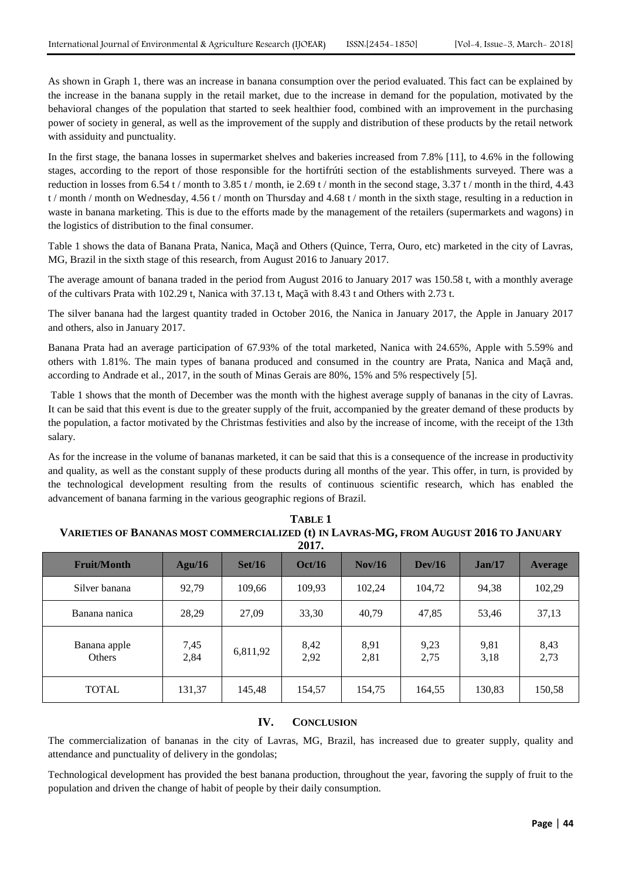As shown in Graph 1, there was an increase in banana consumption over the period evaluated. This fact can be explained by the increase in the banana supply in the retail market, due to the increase in demand for the population, motivated by the behavioral changes of the population that started to seek healthier food, combined with an improvement in the purchasing power of society in general, as well as the improvement of the supply and distribution of these products by the retail network with assiduity and punctuality.

In the first stage, the banana losses in supermarket shelves and bakeries increased from 7.8% [11], to 4.6% in the following stages, according to the report of those responsible for the hortifrúti section of the establishments surveyed. There was a reduction in losses from 6.54 t / month to 3.85 t / month, ie 2.69 t / month in the second stage, 3.37 t / month in the third, 4.43 t / month / month on Wednesday,  $4.56$  t / month on Thursday and  $4.68$  t / month in the sixth stage, resulting in a reduction in waste in banana marketing. This is due to the efforts made by the management of the retailers (supermarkets and wagons) in the logistics of distribution to the final consumer.

Table 1 shows the data of Banana Prata, Nanica, Maçã and Others (Quince, Terra, Ouro, etc) marketed in the city of Lavras, MG, Brazil in the sixth stage of this research, from August 2016 to January 2017.

The average amount of banana traded in the period from August 2016 to January 2017 was 150.58 t, with a monthly average of the cultivars Prata with 102.29 t, Nanica with 37.13 t, Maçã with 8.43 t and Others with 2.73 t.

The silver banana had the largest quantity traded in October 2016, the Nanica in January 2017, the Apple in January 2017 and others, also in January 2017.

Banana Prata had an average participation of 67.93% of the total marketed, Nanica with 24.65%, Apple with 5.59% and others with 1.81%. The main types of banana produced and consumed in the country are Prata, Nanica and Maçã and, according to Andrade et al., 2017, in the south of Minas Gerais are 80%, 15% and 5% respectively [5].

Table 1 shows that the month of December was the month with the highest average supply of bananas in the city of Lavras. It can be said that this event is due to the greater supply of the fruit, accompanied by the greater demand of these products by the population, a factor motivated by the Christmas festivities and also by the increase of income, with the receipt of the 13th salary.

As for the increase in the volume of bananas marketed, it can be said that this is a consequence of the increase in productivity and quality, as well as the constant supply of these products during all months of the year. This offer, in turn, is provided by the technological development resulting from the results of continuous scientific research, which has enabled the advancement of banana farming in the various geographic regions of Brazil.

| 2017.                         |              |          |              |                 |              |              |                |
|-------------------------------|--------------|----------|--------------|-----------------|--------------|--------------|----------------|
| <b>Fruit/Month</b>            | Agu/16       | Set/16   | Oct/16       | $\text{Nov}/16$ | Dev/16       | Jan/17       | <b>Average</b> |
| Silver banana                 | 92,79        | 109,66   | 109,93       | 102,24          | 104,72       | 94,38        | 102,29         |
| Banana nanica                 | 28,29        | 27,09    | 33,30        | 40,79           | 47,85        | 53,46        | 37,13          |
| Banana apple<br><b>Others</b> | 7,45<br>2,84 | 6,811,92 | 8,42<br>2,92 | 8,91<br>2,81    | 9,23<br>2,75 | 9,81<br>3,18 | 8,43<br>2,73   |
| <b>TOTAL</b>                  | 131,37       | 145,48   | 154,57       | 154,75          | 164,55       | 130,83       | 150,58         |

# **TABLE 1 VARIETIES OF BANANAS MOST COMMERCIALIZED (t) IN LAVRAS-MG, FROM AUGUST 2016 TO JANUARY**

#### **IV. CONCLUSION**

The commercialization of bananas in the city of Lavras, MG, Brazil, has increased due to greater supply, quality and attendance and punctuality of delivery in the gondolas;

Technological development has provided the best banana production, throughout the year, favoring the supply of fruit to the population and driven the change of habit of people by their daily consumption.